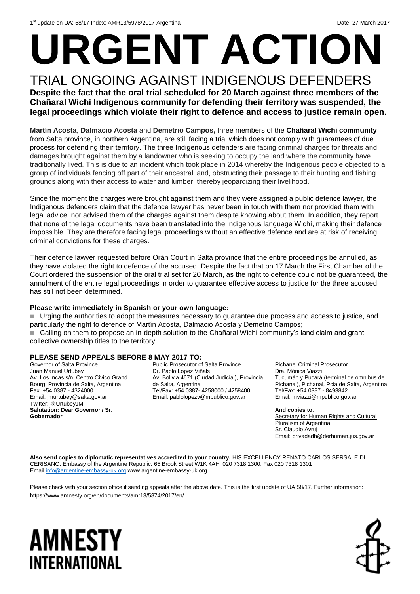# **URGENT ACTION**

## TRIAL ONGOING AGAINST INDIGENOUS DEFENDERS **Despite the fact that the oral trial scheduled for 20 March against three members of the**

**Chañaral Wichí Indigenous community for defending their territory was suspended, the legal proceedings which violate their right to defence and access to justice remain open.**

**Martín Acosta**, **Dalmacio Acosta** and **Demetrio Campos,** three members of the **Chañaral Wichí community** from Salta province, in northern Argentina, are still facing a trial which does not comply with guarantees of due process for defending their territory. The three Indigenous defenders are facing criminal charges for threats and damages brought against them by a landowner who is seeking to occupy the land where the community have traditionally lived. This is due to an incident which took place in 2014 whereby the Indigenous people objected to a group of individuals fencing off part of their ancestral land, obstructing their passage to their hunting and fishing grounds along with their access to water and lumber, thereby jeopardizing their livelihood.

Since the moment the charges were brought against them and they were assigned a public defence lawyer, the Indigenous defenders claim that the defence lawyer has never been in touch with them nor provided them with legal advice, nor advised them of the charges against them despite knowing about them. In addition, they report that none of the legal documents have been translated into the Indigenous language Wichí, making their defence impossible. They are therefore facing legal proceedings without an effective defence and are at risk of receiving criminal convictions for these charges.

Their defence lawyer requested before Orán Court in Salta province that the entire proceedings be annulled, as they have violated the right to defence of the accused. Despite the fact that on 17 March the First Chamber of the Court ordered the suspension of the oral trial set for 20 March, as the right to defence could not be guaranteed, the annulment of the entire legal proceedings in order to guarantee effective access to justice for the three accused has still not been determined.

#### **Please write immediately in Spanish or your own language:**

 Urging the authorities to adopt the measures necessary to guarantee due process and access to justice, and particularly the right to defence of Martín Acosta, Dalmacio Acosta y Demetrio Campos; Calling on them to propose an in-depth solution to the Chañaral Wichí community's land claim and grant collective ownership titles to the territory.

#### **PLEASE SEND APPEALS BEFORE 8 MAY 2017 TO:**

Governor of Salta Province Juan Manuel Urtubey Av. Los Incas s/n, Centro Cívico Grand Bourg, Provincia de Salta, Argentina Fax. +54 0387 - 4324000 Email: jmurtubey@salta.gov.ar Twitter: [@UrtubeyJM](https://twitter.com/UrtubeyJM) **Salutation: Dear Governor / Sr. Gobernador**

Public Prosecutor of Salta Province Dr. Pablo López Viñals Av. Bolivia 4671 (Ciudad Judicial), Provincia de Salta, Argentina Tel/Fax: +54 0387- 4258000 / 4258400 Email: pablolopezv@mpublico.gov.ar

Pichanel Criminal Prosecutor Dra. Mónica Viazzi Tucumán y Pucará (terminal de ómnibus de Pichanal), Pichanal, Pcia de Salta, Argentina Tel/Fax: +54 0387 - 8493842 Email: [mviazzi@mpublico.gov.ar](mailto:mviazzi@mpublico.gov.ar)

**And copies to**: Secretary for Human Rights and Cultural Pluralism of Argentina Sr. Claudio Avruj Email: privadadh@derhuman.jus.gov.ar

**Also send copies to diplomatic representatives accredited to your country.** HIS EXCELLENCY RENATO CARLOS SERSALE DI CERISANO, Embassy of the Argentine Republic, 65 Brook Street W1K 4AH, 020 7318 1300, Fax 020 7318 1301 Email [info@argentine-embassy-uk.org](mailto:info@argentine-embassy-uk.org) www.argentine-embassy-uk.org

Please check with your section office if sending appeals after the above date. This is the first update of UA 58/17. Further information: https://www.amnesty.org/en/documents/amr13/5874/2017/en/